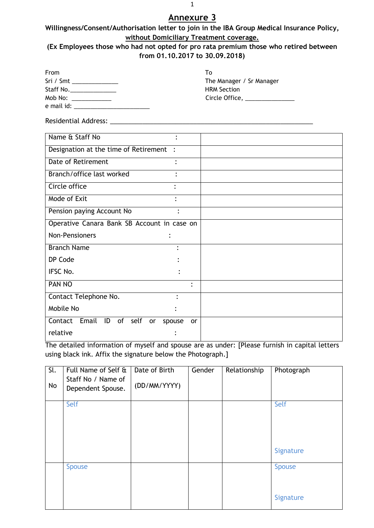| Willingness/Consent/Authorisation letter to join in the IBA Group Medical Insurance Policy, |
|---------------------------------------------------------------------------------------------|
| without Domiciliary Treatment coverage.                                                     |

| (Ex Employees those who had not opted for pro rata premium those who retired between |
|--------------------------------------------------------------------------------------|
| from 01.10.2017 to 30.09.2018)                                                       |

| From                                | Т٥                                                        |
|-------------------------------------|-----------------------------------------------------------|
| $Sri / Smt$ _______________         | The Manager / Sr Manager                                  |
| Staff No.________________           | <b>HRM Section</b>                                        |
|                                     | Circle Office, $\frac{1}{2}$ Circle Office, $\frac{1}{2}$ |
| e mail id: ________________________ |                                                           |

Residential Address: \_\_\_\_\_\_\_\_\_\_\_\_\_\_\_\_\_\_\_\_\_\_\_\_\_\_\_\_\_\_\_\_\_\_\_\_\_\_\_\_\_\_\_\_\_\_\_\_\_\_\_\_\_\_\_\_

| Name & Staff No                             | ٠                   |
|---------------------------------------------|---------------------|
| Designation at the time of Retirement       | $\ddot{\cdot}$      |
| Date of Retirement                          | ٠                   |
| Branch/office last worked                   |                     |
| Circle office                               | $\ddot{\cdot}$      |
| Mode of Exit                                | ٠                   |
| Pension paying Account No                   |                     |
| Operative Canara Bank SB Account in case on |                     |
| Non-Pensioners                              |                     |
| <b>Branch Name</b>                          |                     |
| DP Code                                     |                     |
| IFSC No.                                    |                     |
| <b>PAN NO</b>                               | $\bullet$           |
| Contact Telephone No.                       |                     |
| Mobile No                                   |                     |
| Email<br>of<br>self<br>Contact<br>ID<br>or  | spouse<br><b>or</b> |
| relative                                    |                     |

The detailed information of myself and spouse are as under: [Please furnish in capital letters using black ink. Affix the signature below the Photograph.]

| $\overline{sl}$ .<br>No | Full Name of Self &<br>Staff No / Name of<br>Dependent Spouse. | Date of Birth<br>(DD/MM/YYYY) | Gender | Relationship | Photograph                 |
|-------------------------|----------------------------------------------------------------|-------------------------------|--------|--------------|----------------------------|
|                         | Self                                                           |                               |        |              | Self<br>Signature          |
|                         | <b>Spouse</b>                                                  |                               |        |              | <b>Spouse</b><br>Signature |

1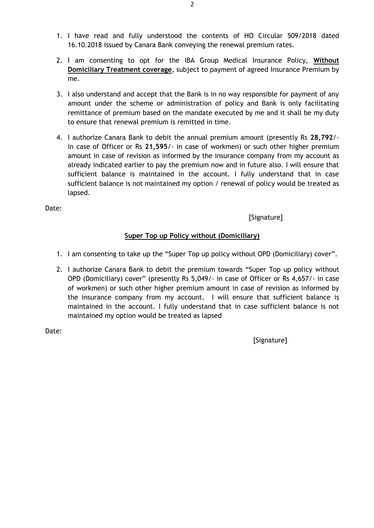- 1. I have read and fully understood the contents of HO Circular 509/2018 dated 16.10.2018 issued by Canara Bank conveying the renewal premium rates.
- 2. I am consenting to opt for the IBA Group Medical Insurance Policy, **Without Domiciliary Treatment coverage**, subject to payment of agreed Insurance Premium by me.
- 3. I also understand and accept that the Bank is in no way responsible for payment of any amount under the scheme or administration of policy and Bank is only facilitating remittance of premium based on the mandate executed by me and it shall be my duty to ensure that renewal premium is remitted in time.
- 4. I authorize Canara Bank to debit the annual premium amount (presently Rs **28,792**/ in case of Officer or Rs **21,595**/- in case of workmen) or such other higher premium amount in case of revision as informed by the insurance company from my account as already indicated earlier to pay the premium now and in future also. I will ensure that sufficient balance is maintained in the account. I fully understand that in case sufficient balance is not maintained my option / renewal of policy would be treated as lapsed.

[Signature]

## **Super Top up Policy without (Domiciliary)**

- 1. I am consenting to take up the "Super Top up policy without OPD (Domiciliary) cover".
- 2. I authorize Canara Bank to debit the premium towards "Super Top up policy without OPD (Domiciliary) cover" (presently Rs 5,049/- in case of Officer or Rs 4,657/- in case of workmen) or such other higher premium amount in case of revision as informed by the insurance company from my account. I will ensure that sufficient balance is maintained in the account. I fully understand that in case sufficient balance is not maintained my option would be treated as lapsed

Date:

[Signature]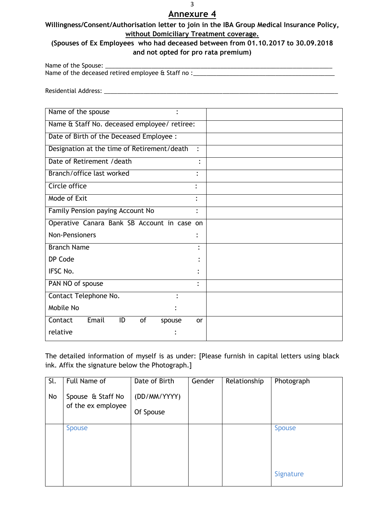### **Willingness/Consent/Authorisation letter to join in the IBA Group Medical Insurance Policy, without Domiciliary Treatment coverage.**

## **(Spouses of Ex Employees who had deceased between from 01.10.2017 to 30.09.2018 and not opted for pro rata premium)**

Name of the Spouse: \_\_\_\_\_\_\_\_\_\_\_\_\_\_\_\_\_\_\_\_\_\_\_\_\_\_\_\_\_\_\_\_\_\_\_\_\_\_\_\_\_\_\_\_\_\_\_\_\_\_\_\_\_\_\_\_\_\_\_\_\_\_\_\_\_\_\_\_\_ Name of the deceased retired employee & Staff no :\_\_\_\_\_\_\_\_\_\_\_\_\_\_\_\_\_\_\_\_\_\_\_\_\_\_\_\_\_\_

Residential Address: \_\_\_\_\_\_\_\_\_\_\_\_\_\_\_\_\_\_\_\_\_\_\_\_\_\_\_\_\_\_\_\_\_\_\_\_\_\_\_\_\_\_\_\_\_\_\_\_\_\_\_\_\_\_\_\_\_\_\_\_\_\_\_\_\_\_\_\_\_\_\_

| Name of the spouse                           |                |
|----------------------------------------------|----------------|
| Name & Staff No. deceased employee/ retiree: |                |
| Date of Birth of the Deceased Employee :     |                |
| Designation at the time of Retirement/death  | $\ddot{\cdot}$ |
| Date of Retirement / death                   | $\bullet$      |
| Branch/office last worked                    |                |
| Circle office                                | ٠              |
| Mode of Exit                                 | ٠              |
| Family Pension paying Account No             | $\bullet$      |
| Operative Canara Bank SB Account in case on  |                |
| <b>Non-Pensioners</b>                        |                |
| <b>Branch Name</b>                           |                |
| DP Code                                      |                |
| IFSC No.                                     |                |
| PAN NO of spouse                             | ٠              |
| Contact Telephone No.<br>٠                   |                |
| Mobile No                                    |                |
| Email<br>of<br>Contact<br>ID<br>spouse       | <b>or</b>      |
| relative                                     |                |

The detailed information of myself is as under: [Please furnish in capital letters using black ink. Affix the signature below the Photograph.]

| Sl.<br>No | Full Name of<br>Spouse & Staff No<br>of the ex employee | Date of Birth<br>(DD/MM/YYYY)<br>Of Spouse | Gender | Relationship | Photograph                 |
|-----------|---------------------------------------------------------|--------------------------------------------|--------|--------------|----------------------------|
|           | <b>Spouse</b>                                           |                                            |        |              | <b>Spouse</b><br>Signature |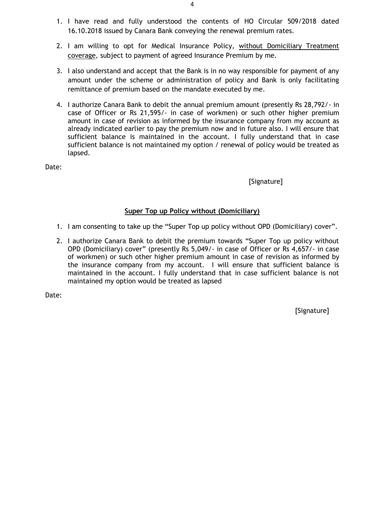- 1. I have read and fully understood the contents of HO Circular 509/2018 dated 16.10.2018 issued by Canara Bank conveying the renewal premium rates.
- 2. I am willing to opt for Medical Insurance Policy, without Domiciliary Treatment coverage, subject to payment of agreed Insurance Premium by me.
- 3. I also understand and accept that the Bank is in no way responsible for payment of any amount under the scheme or administration of policy and Bank is only facilitating remittance of premium based on the mandate executed by me.
- 4. I authorize Canara Bank to debit the annual premium amount (presently Rs 28,792/- in case of Officer or Rs 21,595/- in case of workmen) or such other higher premium amount in case of revision as informed by the insurance company from my account as already indicated earlier to pay the premium now and in future also. I will ensure that sufficient balance is maintained in the account. I fully understand that in case sufficient balance is not maintained my option / renewal of policy would be treated as lapsed.

[Signature]

#### **Super Top up Policy without (Domiciliary)**

- 1. I am consenting to take up the "Super Top up policy without OPD (Domiciliary) cover".
- 2. I authorize Canara Bank to debit the premium towards "Super Top up policy without OPD (Domiciliary) cover" (presently Rs 5,049/- in case of Officer or Rs 4,657/- in case of workmen) or such other higher premium amount in case of revision as informed by the insurance company from my account. I will ensure that sufficient balance is maintained in the account. I fully understand that in case sufficient balance is not maintained my option would be treated as lapsed

Date:

[Signature]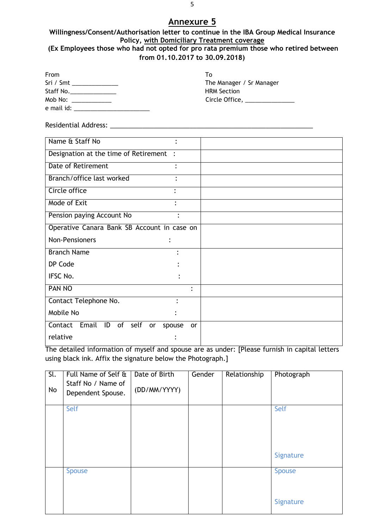#### **Willingness/Consent/Authorisation letter to continue in the IBA Group Medical Insurance Policy, with Domiciliary Treatment coverage (Ex Employees those who had not opted for pro rata premium those who retired between from 01.10.2017 to 30.09.2018)**

| From                                                                                                                                                                                                                           | T٥                                    |
|--------------------------------------------------------------------------------------------------------------------------------------------------------------------------------------------------------------------------------|---------------------------------------|
| Sri / Smt _____________                                                                                                                                                                                                        | The Manager / Sr Manager              |
| Staff No. _______________                                                                                                                                                                                                      | <b>HRM Section</b>                    |
| Mob No: when the control of the control of the control of the control of the control of the control of the control of the control of the control of the control of the control of the control of the control of the control of | Circle Office, <u>Canadian Circle</u> |
| e mail id:                                                                                                                                                                                                                     |                                       |

Residential Address: \_\_\_\_\_\_\_\_\_\_\_\_\_\_\_\_\_\_\_\_\_\_\_\_\_\_\_\_\_\_\_\_\_\_\_\_\_\_\_\_\_\_\_\_\_\_\_\_\_\_\_\_\_\_\_\_

| Name & Staff No                             |           |
|---------------------------------------------|-----------|
| Designation at the time of Retirement :     |           |
| Date of Retirement                          |           |
| Branch/office last worked                   |           |
| Circle office                               |           |
| Mode of Exit                                |           |
| Pension paying Account No<br>٠              |           |
| Operative Canara Bank SB Account in case on |           |
| Non-Pensioners                              |           |
| <b>Branch Name</b>                          |           |
| DP Code                                     |           |
| IFSC No.                                    |           |
| <b>PAN NO</b>                               | $\bullet$ |
| Contact Telephone No.<br>$\bullet$          |           |
| Mobile No                                   |           |
| Contact Email ID of self<br>or<br>spouse    | <b>or</b> |
| relative                                    |           |

The detailed information of myself and spouse are as under: [Please furnish in capital letters using black ink. Affix the signature below the Photograph.]

| $\overline{\mathsf{SL}}$ | Full Name of Self &                     | Date of Birth | Gender | Relationship | Photograph                 |
|--------------------------|-----------------------------------------|---------------|--------|--------------|----------------------------|
| No                       | Staff No / Name of<br>Dependent Spouse. | (DD/MM/YYYY)  |        |              |                            |
|                          | Self                                    |               |        |              | Self                       |
|                          |                                         |               |        |              | Signature                  |
|                          | <b>Spouse</b>                           |               |        |              | <b>Spouse</b><br>Signature |
|                          |                                         |               |        |              |                            |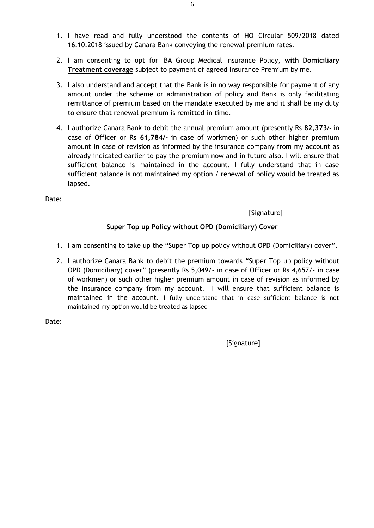- 1. I have read and fully understood the contents of HO Circular 509/2018 dated 16.10.2018 issued by Canara Bank conveying the renewal premium rates.
- 2. I am consenting to opt for IBA Group Medical Insurance Policy, **with Domiciliary Treatment coverage** subject to payment of agreed Insurance Premium by me.
- 3. I also understand and accept that the Bank is in no way responsible for payment of any amount under the scheme or administration of policy and Bank is only facilitating remittance of premium based on the mandate executed by me and it shall be my duty to ensure that renewal premium is remitted in time.
- 4. I authorize Canara Bank to debit the annual premium amount (presently Rs **82,373/-** in case of Officer or Rs **61,784/-** in case of workmen) or such other higher premium amount in case of revision as informed by the insurance company from my account as already indicated earlier to pay the premium now and in future also. I will ensure that sufficient balance is maintained in the account. I fully understand that in case sufficient balance is not maintained my option / renewal of policy would be treated as lapsed.

[Signature]

### **Super Top up Policy without OPD (Domiciliary) Cover**

- 1. I am consenting to take up the "Super Top up policy without OPD (Domiciliary) cover".
- 2. I authorize Canara Bank to debit the premium towards "Super Top up policy without OPD (Domiciliary) cover" (presently Rs 5,049/- in case of Officer or Rs 4,657/- in case of workmen) or such other higher premium amount in case of revision as informed by the insurance company from my account. I will ensure that sufficient balance is maintained in the account. I fully understand that in case sufficient balance is not maintained my option would be treated as lapsed

Date:

[Signature]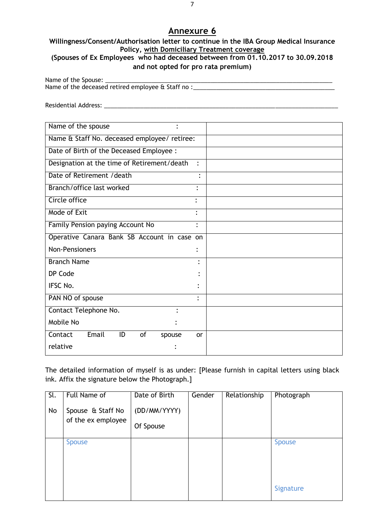#### **Willingness/Consent/Authorisation letter to continue in the IBA Group Medical Insurance Policy, with Domiciliary Treatment coverage (Spouses of Ex Employees who had deceased between from 01.10.2017 to 30.09.2018**

#### **and not opted for pro rata premium)**

Name of the Spouse: \_ Name of the deceased retired employee & Staff no :\_\_\_\_\_\_\_\_\_\_\_\_\_\_\_\_\_\_\_\_\_\_\_\_\_\_\_\_\_\_

Residential Address: \_\_\_\_\_\_\_\_\_\_\_\_\_\_\_\_\_\_\_\_\_\_\_\_\_\_\_\_\_\_\_\_\_\_\_\_\_\_\_\_\_\_\_\_\_\_\_\_\_\_\_\_\_\_\_\_\_\_\_\_\_\_\_\_\_\_\_\_\_\_\_

| Name of the spouse                            |                |
|-----------------------------------------------|----------------|
| Name & Staff No. deceased employee/ retiree:  |                |
| Date of Birth of the Deceased Employee :      |                |
| Designation at the time of Retirement/death : |                |
| Date of Retirement / death                    |                |
| Branch/office last worked                     |                |
| Circle office                                 | $\ddot{\cdot}$ |
| Mode of Exit                                  | ٠              |
| Family Pension paying Account No              | $\ddot{\cdot}$ |
| Operative Canara Bank SB Account in case on   |                |
| <b>Non-Pensioners</b>                         |                |
| <b>Branch Name</b>                            | $\bullet$      |
| DP Code                                       |                |
| <b>IFSC No.</b>                               |                |
| PAN NO of spouse                              | $\ddot{\cdot}$ |
| Contact Telephone No.                         |                |
| Mobile No                                     |                |
| Email<br>ID<br>of<br>Contact<br>spouse        | <b>or</b>      |
| relative                                      |                |

The detailed information of myself is as under: [Please furnish in capital letters using black ink. Affix the signature below the Photograph.]

| Sl.<br>No | Full Name of<br>Spouse & Staff No<br>of the ex employee | Date of Birth<br>(DD/MM/YYYY)<br>Of Spouse | Gender | Relationship | Photograph                 |
|-----------|---------------------------------------------------------|--------------------------------------------|--------|--------------|----------------------------|
|           | <b>Spouse</b>                                           |                                            |        |              | <b>Spouse</b><br>Signature |